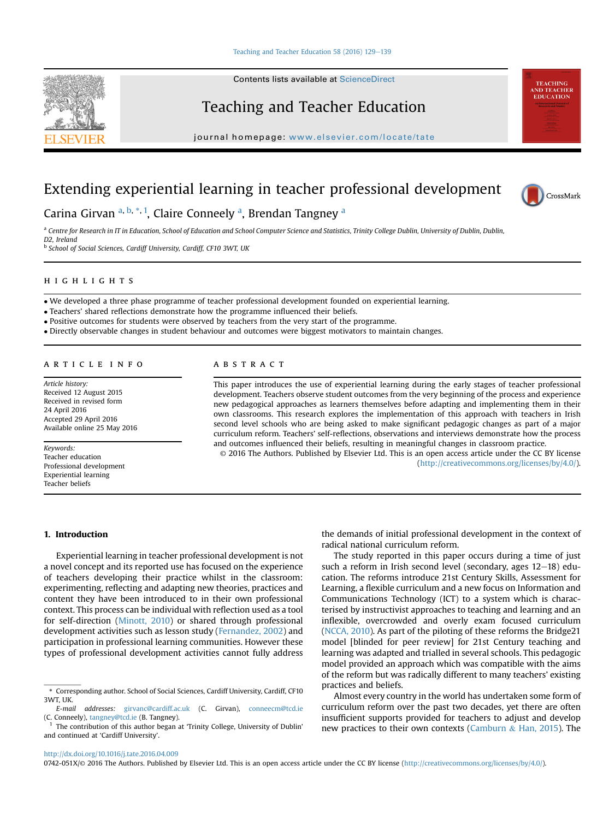#### [Teaching and Teacher Education 58 \(2016\) 129](http://dx.doi.org/10.1016/j.tate.2016.04.009)-[139](http://dx.doi.org/10.1016/j.tate.2016.04.009)

Contents lists available at ScienceDirect

# Teaching and Teacher Education

journal homepage: <www.elsevier.com/locate/tate>

# Extending experiential learning in teacher professional development

Carina Girvan <sup>a, b, \*, 1</sup>, Claire Conneely <sup>a</sup>, Brendan Tangney <sup>a</sup>

<sup>a</sup> Centre for Research in IT in Education, School of Education and School Computer Science and Statistics, Trinity College Dublin, University of Dublin, Dublin, D2, Ireland <sup>b</sup> School of Social Sciences, Cardiff University, Cardiff, CF10 3WT, UK

highlights are the control of

We developed a three phase programme of teacher professional development founded on experiential learning.

Teachers' shared reflections demonstrate how the programme influenced their beliefs.

Positive outcomes for students were observed by teachers from the very start of the programme.

Directly observable changes in student behaviour and outcomes were biggest motivators to maintain changes.

Article history: Received 12 August 2015 Received in revised form 24 April 2016 Accepted 29 April 2016 Available online 25 May 2016

Keywords: Teacher education Professional development Experiential learning Teacher beliefs

# **ABSTRACT**

This paper introduces the use of experiential learning during the early stages of teacher professional development. Teachers observe student outcomes from the very beginning of the process and experience new pedagogical approaches as learners themselves before adapting and implementing them in their own classrooms. This research explores the implementation of this approach with teachers in Irish second level schools who are being asked to make significant pedagogic changes as part of a major curriculum reform. Teachers' self-reflections, observations and interviews demonstrate how the process and outcomes influenced their beliefs, resulting in meaningful changes in classroom practice.

© 2016 The Authors. Published by Elsevier Ltd. This is an open access article under the CC BY license [\(http://creativecommons.org/licenses/by/4.0/](http://creativecommons.org/licenses/by/4.0/)).

#### 1. Introduction

Experiential learning in teacher professional development is not a novel concept and its reported use has focused on the experience of teachers developing their practice whilst in the classroom: experimenting, reflecting and adapting new theories, practices and content they have been introduced to in their own professional context. This process can be individual with reflection used as a tool for self-direction ([Minott, 2010\)](#page-10-0) or shared through professional development activities such as lesson study ([Fernandez, 2002](#page-10-0)) and participation in professional learning communities. However these types of professional development activities cannot fully address the demands of initial professional development in the context of radical national curriculum reform.

The study reported in this paper occurs during a time of just such a reform in Irish second level (secondary, ages 12-18) education. The reforms introduce 21st Century Skills, Assessment for Learning, a flexible curriculum and a new focus on Information and Communications Technology (ICT) to a system which is characterised by instructivist approaches to teaching and learning and an inflexible, overcrowded and overly exam focused curriculum ([NCCA, 2010](#page-10-0)). As part of the piloting of these reforms the Bridge21 model [blinded for peer review] for 21st Century teaching and learning was adapted and trialled in several schools. This pedagogic model provided an approach which was compatible with the aims of the reform but was radically different to many teachers' existing practices and beliefs.

Almost every country in the world has undertaken some form of curriculum reform over the past two decades, yet there are often insufficient supports provided for teachers to adjust and develop new practices to their own contexts ([Camburn](#page-9-0)  $\&$  [Han, 2015\)](#page-9-0). The







**TEACHING** ND TEACHER **EDUCATION** 

<sup>\*</sup> Corresponding author. School of Social Sciences, Cardiff University, Cardiff, CF10 3WT, UK.

E-mail addresses: [girvanc@cardiff.ac.uk](mailto:girvanc@cardiff.ac.uk) (C. Girvan), [conneecm@tcd.ie](mailto:conneecm@tcd.ie) (C. Conneely), [tangney@tcd.ie](mailto:tangney@tcd.ie) (B. Tangney).

<sup>1</sup> The contribution of this author began at 'Trinity College, University of Dublin' and continued at 'Cardiff University'.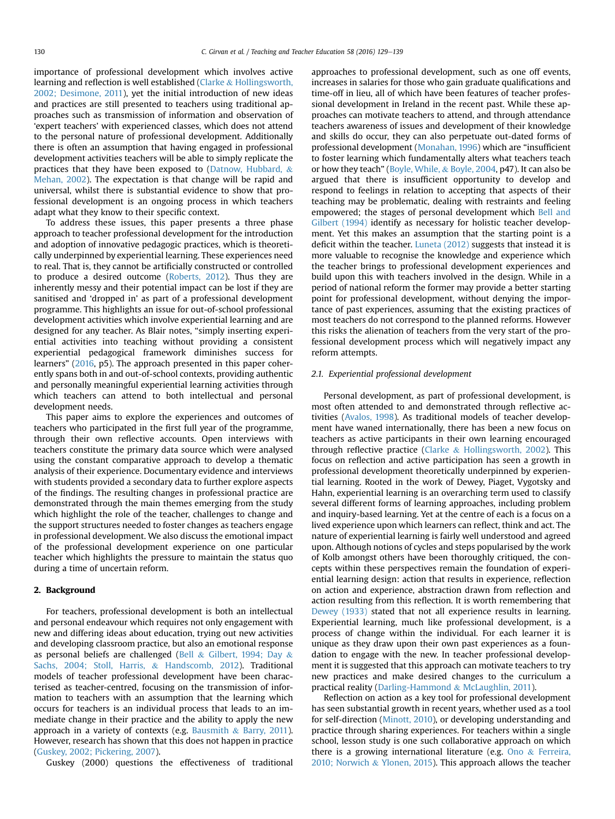importance of professional development which involves active learning and reflection is well established ([Clarke](#page-9-0) & [Hollingsworth,](#page-9-0) [2002; Desimone, 2011](#page-9-0)), yet the initial introduction of new ideas and practices are still presented to teachers using traditional approaches such as transmission of information and observation of 'expert teachers' with experienced classes, which does not attend to the personal nature of professional development. Additionally there is often an assumption that having engaged in professional development activities teachers will be able to simply replicate the practices that they have been exposed to ([Datnow, Hubbard,](#page-10-0) & [Mehan, 2002\)](#page-10-0). The expectation is that change will be rapid and universal, whilst there is substantial evidence to show that professional development is an ongoing process in which teachers adapt what they know to their specific context.

To address these issues, this paper presents a three phase approach to teacher professional development for the introduction and adoption of innovative pedagogic practices, which is theoretically underpinned by experiential learning. These experiences need to real. That is, they cannot be artificially constructed or controlled to produce a desired outcome ([Roberts, 2012\)](#page-10-0). Thus they are inherently messy and their potential impact can be lost if they are sanitised and 'dropped in' as part of a professional development programme. This highlights an issue for out-of-school professional development activities which involve experiential learning and are designed for any teacher. As Blair notes, "simply inserting experiential activities into teaching without providing a consistent experiential pedagogical framework diminishes success for learners" ([2016,](#page-9-0) p5). The approach presented in this paper coherently spans both in and out-of-school contexts, providing authentic and personally meaningful experiential learning activities through which teachers can attend to both intellectual and personal development needs.

This paper aims to explore the experiences and outcomes of teachers who participated in the first full year of the programme, through their own reflective accounts. Open interviews with teachers constitute the primary data source which were analysed using the constant comparative approach to develop a thematic analysis of their experience. Documentary evidence and interviews with students provided a secondary data to further explore aspects of the findings. The resulting changes in professional practice are demonstrated through the main themes emerging from the study which highlight the role of the teacher, challenges to change and the support structures needed to foster changes as teachers engage in professional development. We also discuss the emotional impact of the professional development experience on one particular teacher which highlights the pressure to maintain the status quo during a time of uncertain reform.

### 2. Background

For teachers, professional development is both an intellectual and personal endeavour which requires not only engagement with new and differing ideas about education, trying out new activities and developing classroom practice, but also an emotional response as personal beliefs are challenged ([Bell](#page-9-0) & [Gilbert, 1994; Day](#page-9-0) & [Sachs, 2004; Stoll, Harris,](#page-9-0) & [Handscomb, 2012\)](#page-9-0). Traditional models of teacher professional development have been characterised as teacher-centred, focusing on the transmission of information to teachers with an assumption that the learning which occurs for teachers is an individual process that leads to an immediate change in their practice and the ability to apply the new approach in a variety of contexts (e.g. [Bausmith](#page-9-0)  $\&$  [Barry, 2011\)](#page-9-0). However, research has shown that this does not happen in practice ([Guskey, 2002; Pickering, 2007\)](#page-10-0).

Guskey (2000) questions the effectiveness of traditional

approaches to professional development, such as one off events, increases in salaries for those who gain graduate qualifications and time-off in lieu, all of which have been features of teacher professional development in Ireland in the recent past. While these approaches can motivate teachers to attend, and through attendance teachers awareness of issues and development of their knowledge and skills do occur, they can also perpetuate out-dated forms of professional development ([Monahan, 1996](#page-10-0)) which are "insufficient to foster learning which fundamentally alters what teachers teach or how they teach" [\(Boyle, While,](#page-9-0) & [Boyle, 2004](#page-9-0), p47). It can also be argued that there is insufficient opportunity to develop and respond to feelings in relation to accepting that aspects of their teaching may be problematic, dealing with restraints and feeling empowered; the stages of personal development which [Bell and](#page-9-0) [Gilbert \(1994\)](#page-9-0) identify as necessary for holistic teacher development. Yet this makes an assumption that the starting point is a deficit within the teacher. [Luneta \(2012\)](#page-10-0) suggests that instead it is more valuable to recognise the knowledge and experience which the teacher brings to professional development experiences and build upon this with teachers involved in the design. While in a period of national reform the former may provide a better starting point for professional development, without denying the importance of past experiences, assuming that the existing practices of most teachers do not correspond to the planned reforms. However this risks the alienation of teachers from the very start of the professional development process which will negatively impact any reform attempts.

### 2.1. Experiential professional development

Personal development, as part of professional development, is most often attended to and demonstrated through reflective activities [\(Avalos, 1998\)](#page-9-0). As traditional models of teacher development have waned internationally, there has been a new focus on teachers as active participants in their own learning encouraged through reflective practice ([Clarke](#page-9-0)  $&$  [Hollingsworth, 2002](#page-9-0)). This focus on reflection and active participation has seen a growth in professional development theoretically underpinned by experiential learning. Rooted in the work of Dewey, Piaget, Vygotsky and Hahn, experiential learning is an overarching term used to classify several different forms of learning approaches, including problem and inquiry-based learning. Yet at the centre of each is a focus on a lived experience upon which learners can reflect, think and act. The nature of experiential learning is fairly well understood and agreed upon. Although notions of cycles and steps popularised by the work of Kolb amongst others have been thoroughly critiqued, the concepts within these perspectives remain the foundation of experiential learning design: action that results in experience, reflection on action and experience, abstraction drawn from reflection and action resulting from this reflection. It is worth remembering that [Dewey \(1933\)](#page-10-0) stated that not all experience results in learning. Experiential learning, much like professional development, is a process of change within the individual. For each learner it is unique as they draw upon their own past experiences as a foundation to engage with the new. In teacher professional development it is suggested that this approach can motivate teachers to try new practices and make desired changes to the curriculum a practical reality [\(Darling-Hammond](#page-10-0) & [McLaughlin, 2011\)](#page-10-0).

Reflection on action as a key tool for professional development has seen substantial growth in recent years, whether used as a tool for self-direction ([Minott, 2010\)](#page-10-0), or developing understanding and practice through sharing experiences. For teachers within a single school, lesson study is one such collaborative approach on which there is a growing international literature (e.g. [Ono](#page-10-0) & [Ferreira,](#page-10-0) [2010; Norwich](#page-10-0) & [Ylonen, 2015](#page-10-0)). This approach allows the teacher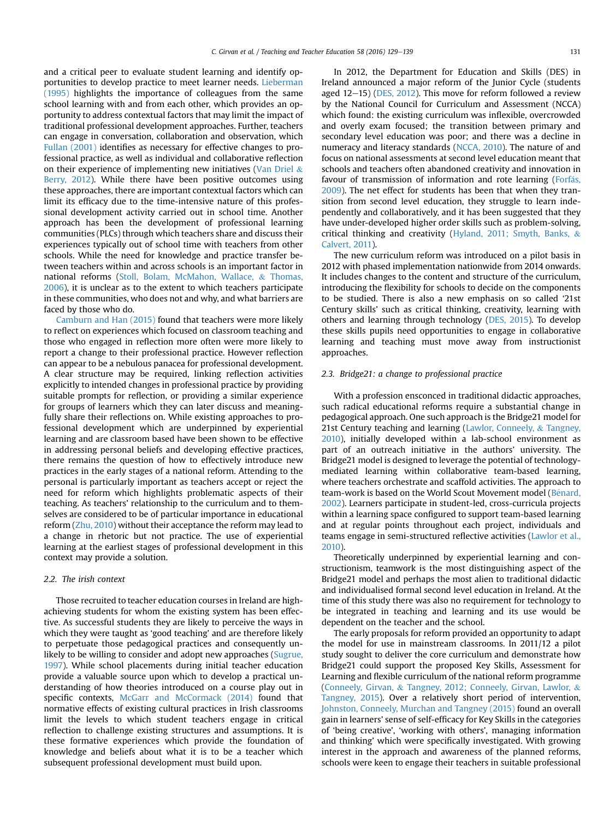and a critical peer to evaluate student learning and identify opportunities to develop practice to meet learner needs. [Lieberman](#page-10-0) [\(1995\)](#page-10-0) highlights the importance of colleagues from the same school learning with and from each other, which provides an opportunity to address contextual factors that may limit the impact of traditional professional development approaches. Further, teachers can engage in conversation, collaboration and observation, which [Fullan \(2001\)](#page-10-0) identifies as necessary for effective changes to professional practice, as well as individual and collaborative reflection on their experience of implementing new initiatives [\(Van Driel](#page-10-0)  $\&$ [Berry, 2012\)](#page-10-0). While there have been positive outcomes using these approaches, there are important contextual factors which can limit its efficacy due to the time-intensive nature of this professional development activity carried out in school time. Another approach has been the development of professional learning communities (PLCs) through which teachers share and discuss their experiences typically out of school time with teachers from other schools. While the need for knowledge and practice transfer between teachers within and across schools is an important factor in national reforms ([Stoll, Bolam, McMahon, Wallace,](#page-10-0) & [Thomas,](#page-10-0) [2006\)](#page-10-0), it is unclear as to the extent to which teachers participate in these communities, who does not and why, and what barriers are faced by those who do.

[Camburn and Han \(2015\)](#page-9-0) found that teachers were more likely to reflect on experiences which focused on classroom teaching and those who engaged in reflection more often were more likely to report a change to their professional practice. However reflection can appear to be a nebulous panacea for professional development. A clear structure may be required, linking reflection activities explicitly to intended changes in professional practice by providing suitable prompts for reflection, or providing a similar experience for groups of learners which they can later discuss and meaningfully share their reflections on. While existing approaches to professional development which are underpinned by experiential learning and are classroom based have been shown to be effective in addressing personal beliefs and developing effective practices, there remains the question of how to effectively introduce new practices in the early stages of a national reform. Attending to the personal is particularly important as teachers accept or reject the need for reform which highlights problematic aspects of their teaching. As teachers' relationship to the curriculum and to themselves are considered to be of particular importance in educational reform [\(Zhu, 2010](#page-10-0)) without their acceptance the reform may lead to a change in rhetoric but not practice. The use of experiential learning at the earliest stages of professional development in this context may provide a solution.

# 2.2. The irish context

Those recruited to teacher education courses in Ireland are highachieving students for whom the existing system has been effective. As successful students they are likely to perceive the ways in which they were taught as 'good teaching' and are therefore likely to perpetuate those pedagogical practices and consequently un-likely to be willing to consider and adopt new approaches [\(Sugrue,](#page-10-0) [1997\)](#page-10-0). While school placements during initial teacher education provide a valuable source upon which to develop a practical understanding of how theories introduced on a course play out in specific contexts, [McGarr and McCormack \(2014\)](#page-10-0) found that normative effects of existing cultural practices in Irish classrooms limit the levels to which student teachers engage in critical reflection to challenge existing structures and assumptions. It is these formative experiences which provide the foundation of knowledge and beliefs about what it is to be a teacher which subsequent professional development must build upon.

In 2012, the Department for Education and Skills (DES) in Ireland announced a major reform of the Junior Cycle (students aged  $12-15$ ) ([DES, 2012\)](#page-10-0). This move for reform followed a review by the National Council for Curriculum and Assessment (NCCA) which found: the existing curriculum was inflexible, overcrowded and overly exam focused; the transition between primary and secondary level education was poor; and there was a decline in numeracy and literacy standards [\(NCCA, 2010](#page-10-0)). The nature of and focus on national assessments at second level education meant that schools and teachers often abandoned creativity and innovation in favour of transmission of information and rote learning (Forfás, [2009\)](#page-10-0). The net effect for students has been that when they transition from second level education, they struggle to learn independently and collaboratively, and it has been suggested that they have under-developed higher order skills such as problem-solving, critical thinking and creativity ([Hyland, 2011; Smyth, Banks,](#page-10-0) & [Calvert, 2011](#page-10-0)).

The new curriculum reform was introduced on a pilot basis in 2012 with phased implementation nationwide from 2014 onwards. It includes changes to the content and structure of the curriculum, introducing the flexibility for schools to decide on the components to be studied. There is also a new emphasis on so called '21st Century skills' such as critical thinking, creativity, learning with others and learning through technology [\(DES, 2015\)](#page-10-0). To develop these skills pupils need opportunities to engage in collaborative learning and teaching must move away from instructionist approaches.

### 2.3. Bridge21: a change to professional practice

With a profession ensconced in traditional didactic approaches, such radical educational reforms require a substantial change in pedagogical approach. One such approach is the Bridge21 model for 21st Century teaching and learning [\(Lawlor, Conneely,](#page-10-0) & [Tangney,](#page-10-0) [2010\)](#page-10-0), initially developed within a lab-school environment as part of an outreach initiative in the authors' university. The Bridge21 model is designed to leverage the potential of technologymediated learning within collaborative team-based learning, where teachers orchestrate and scaffold activities. The approach to team-work is based on the World Scout Movement model (Bénard, [2002\)](#page-9-0). Learners participate in student-led, cross-curricula projects within a learning space configured to support team-based learning and at regular points throughout each project, individuals and teams engage in semi-structured reflective activities ([Lawlor et al.,](#page-10-0) [2010\)](#page-10-0).

Theoretically underpinned by experiential learning and constructionism, teamwork is the most distinguishing aspect of the Bridge21 model and perhaps the most alien to traditional didactic and individualised formal second level education in Ireland. At the time of this study there was also no requirement for technology to be integrated in teaching and learning and its use would be dependent on the teacher and the school.

The early proposals for reform provided an opportunity to adapt the model for use in mainstream classrooms. In 2011/12 a pilot study sought to deliver the core curriculum and demonstrate how Bridge21 could support the proposed Key Skills, Assessment for Learning and flexible curriculum of the national reform programme ([Conneely, Girvan,](#page-9-0) & [Tangney, 2012; Conneely, Girvan, Lawlor,](#page-9-0) & [Tangney, 2015](#page-9-0)). Over a relatively short period of intervention, [Johnston, Conneely, Murchan and Tangney \(2015\)](#page-10-0) found an overall gain in learners' sense of self-efficacy for Key Skills in the categories of 'being creative', 'working with others', managing information and thinking' which were specifically investigated. With growing interest in the approach and awareness of the planned reforms, schools were keen to engage their teachers in suitable professional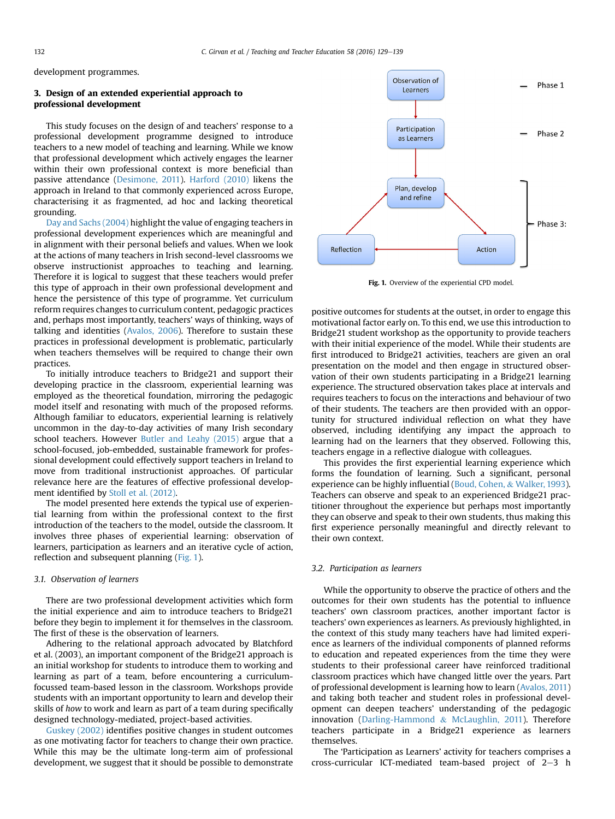development programmes.

## 3. Design of an extended experiential approach to professional development

This study focuses on the design of and teachers' response to a professional development programme designed to introduce teachers to a new model of teaching and learning. While we know that professional development which actively engages the learner within their own professional context is more beneficial than passive attendance [\(Desimone, 2011\)](#page-10-0). [Harford \(2010\)](#page-10-0) likens the approach in Ireland to that commonly experienced across Europe, characterising it as fragmented, ad hoc and lacking theoretical grounding.

[Day and Sachs \(2004\)](#page-10-0) highlight the value of engaging teachers in professional development experiences which are meaningful and in alignment with their personal beliefs and values. When we look at the actions of many teachers in Irish second-level classrooms we observe instructionist approaches to teaching and learning. Therefore it is logical to suggest that these teachers would prefer this type of approach in their own professional development and hence the persistence of this type of programme. Yet curriculum reform requires changes to curriculum content, pedagogic practices and, perhaps most importantly, teachers' ways of thinking, ways of talking and identities [\(Avalos, 2006](#page-9-0)). Therefore to sustain these practices in professional development is problematic, particularly when teachers themselves will be required to change their own practices.

To initially introduce teachers to Bridge21 and support their developing practice in the classroom, experiential learning was employed as the theoretical foundation, mirroring the pedagogic model itself and resonating with much of the proposed reforms. Although familiar to educators, experiential learning is relatively uncommon in the day-to-day activities of many Irish secondary school teachers. However [Butler and Leahy \(2015\)](#page-9-0) argue that a school-focused, job-embedded, sustainable framework for professional development could effectively support teachers in Ireland to move from traditional instructionist approaches. Of particular relevance here are the features of effective professional development identified by [Stoll et al. \(2012\)](#page-10-0).

The model presented here extends the typical use of experiential learning from within the professional context to the first introduction of the teachers to the model, outside the classroom. It involves three phases of experiential learning: observation of learners, participation as learners and an iterative cycle of action, reflection and subsequent planning (Fig. 1).

# 3.1. Observation of learners

There are two professional development activities which form the initial experience and aim to introduce teachers to Bridge21 before they begin to implement it for themselves in the classroom. The first of these is the observation of learners.

Adhering to the relational approach advocated by Blatchford et al. (2003), an important component of the Bridge21 approach is an initial workshop for students to introduce them to working and learning as part of a team, before encountering a curriculumfocussed team-based lesson in the classroom. Workshops provide students with an important opportunity to learn and develop their skills of how to work and learn as part of a team during specifically designed technology-mediated, project-based activities.

[Guskey \(2002\)](#page-10-0) identifies positive changes in student outcomes as one motivating factor for teachers to change their own practice. While this may be the ultimate long-term aim of professional development, we suggest that it should be possible to demonstrate



Fig. 1. Overview of the experiential CPD model.

positive outcomes for students at the outset, in order to engage this motivational factor early on. To this end, we use this introduction to Bridge21 student workshop as the opportunity to provide teachers with their initial experience of the model. While their students are first introduced to Bridge21 activities, teachers are given an oral presentation on the model and then engage in structured observation of their own students participating in a Bridge21 learning experience. The structured observation takes place at intervals and requires teachers to focus on the interactions and behaviour of two of their students. The teachers are then provided with an opportunity for structured individual reflection on what they have observed, including identifying any impact the approach to learning had on the learners that they observed. Following this, teachers engage in a reflective dialogue with colleagues.

This provides the first experiential learning experience which forms the foundation of learning. Such a significant, personal experience can be highly influential [\(Boud, Cohen,](#page-9-0) & [Walker, 1993\)](#page-9-0). Teachers can observe and speak to an experienced Bridge21 practitioner throughout the experience but perhaps most importantly they can observe and speak to their own students, thus making this first experience personally meaningful and directly relevant to their own context.

#### 3.2. Participation as learners

While the opportunity to observe the practice of others and the outcomes for their own students has the potential to influence teachers' own classroom practices, another important factor is teachers' own experiences as learners. As previously highlighted, in the context of this study many teachers have had limited experience as learners of the individual components of planned reforms to education and repeated experiences from the time they were students to their professional career have reinforced traditional classroom practices which have changed little over the years. Part of professional development is learning how to learn ([Avalos, 2011\)](#page-9-0) and taking both teacher and student roles in professional development can deepen teachers' understanding of the pedagogic innovation [\(Darling-Hammond](#page-10-0) & [McLaughlin, 2011\)](#page-10-0). Therefore teachers participate in a Bridge21 experience as learners themselves.

The 'Participation as Learners' activity for teachers comprises a cross-curricular ICT-mediated team-based project of  $2-3$  h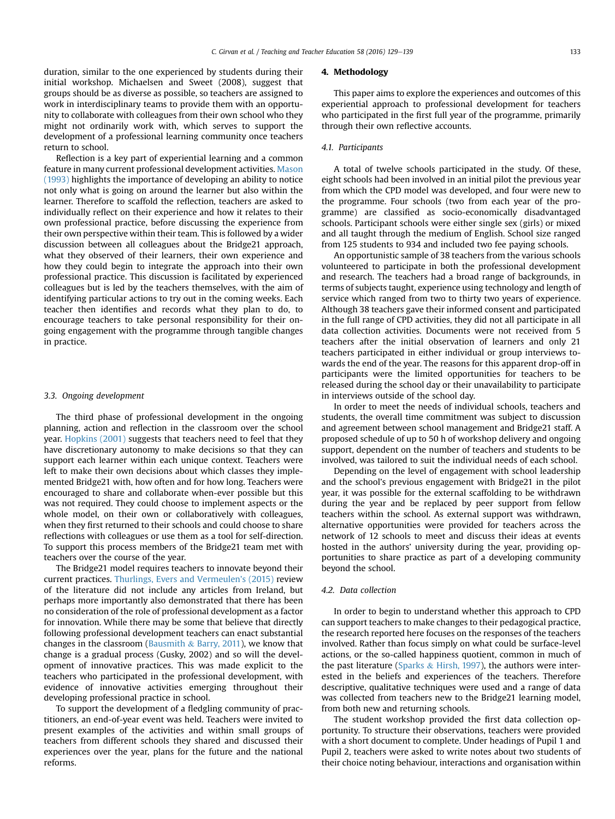duration, similar to the one experienced by students during their initial workshop. Michaelsen and Sweet (2008), suggest that groups should be as diverse as possible, so teachers are assigned to work in interdisciplinary teams to provide them with an opportunity to collaborate with colleagues from their own school who they might not ordinarily work with, which serves to support the development of a professional learning community once teachers return to school.

Reflection is a key part of experiential learning and a common feature in many current professional development activities. [Mason](#page-10-0) [\(1993\)](#page-10-0) highlights the importance of developing an ability to notice not only what is going on around the learner but also within the learner. Therefore to scaffold the reflection, teachers are asked to individually reflect on their experience and how it relates to their own professional practice, before discussing the experience from their own perspective within their team. This is followed by a wider discussion between all colleagues about the Bridge21 approach, what they observed of their learners, their own experience and how they could begin to integrate the approach into their own professional practice. This discussion is facilitated by experienced colleagues but is led by the teachers themselves, with the aim of identifying particular actions to try out in the coming weeks. Each teacher then identifies and records what they plan to do, to encourage teachers to take personal responsibility for their ongoing engagement with the programme through tangible changes in practice.

#### 3.3. Ongoing development

The third phase of professional development in the ongoing planning, action and reflection in the classroom over the school year. [Hopkins \(2001\)](#page-10-0) suggests that teachers need to feel that they have discretionary autonomy to make decisions so that they can support each learner within each unique context. Teachers were left to make their own decisions about which classes they implemented Bridge21 with, how often and for how long. Teachers were encouraged to share and collaborate when-ever possible but this was not required. They could choose to implement aspects or the whole model, on their own or collaboratively with colleagues, when they first returned to their schools and could choose to share reflections with colleagues or use them as a tool for self-direction. To support this process members of the Bridge21 team met with teachers over the course of the year.

The Bridge21 model requires teachers to innovate beyond their current practices. [Thurlings, Evers and Vermeulen](#page-10-0)'s (2015) review of the literature did not include any articles from Ireland, but perhaps more importantly also demonstrated that there has been no consideration of the role of professional development as a factor for innovation. While there may be some that believe that directly following professional development teachers can enact substantial changes in the classroom ([Bausmith](#page-9-0)  $&$  [Barry, 2011](#page-9-0)), we know that change is a gradual process (Gusky, 2002) and so will the development of innovative practices. This was made explicit to the teachers who participated in the professional development, with evidence of innovative activities emerging throughout their developing professional practice in school.

To support the development of a fledgling community of practitioners, an end-of-year event was held. Teachers were invited to present examples of the activities and within small groups of teachers from different schools they shared and discussed their experiences over the year, plans for the future and the national reforms.

#### 4. Methodology

This paper aims to explore the experiences and outcomes of this experiential approach to professional development for teachers who participated in the first full year of the programme, primarily through their own reflective accounts.

#### 4.1. Participants

A total of twelve schools participated in the study. Of these, eight schools had been involved in an initial pilot the previous year from which the CPD model was developed, and four were new to the programme. Four schools (two from each year of the programme) are classified as socio-economically disadvantaged schools. Participant schools were either single sex (girls) or mixed and all taught through the medium of English. School size ranged from 125 students to 934 and included two fee paying schools.

An opportunistic sample of 38 teachers from the various schools volunteered to participate in both the professional development and research. The teachers had a broad range of backgrounds, in terms of subjects taught, experience using technology and length of service which ranged from two to thirty two years of experience. Although 38 teachers gave their informed consent and participated in the full range of CPD activities, they did not all participate in all data collection activities. Documents were not received from 5 teachers after the initial observation of learners and only 21 teachers participated in either individual or group interviews towards the end of the year. The reasons for this apparent drop-off in participants were the limited opportunities for teachers to be released during the school day or their unavailability to participate in interviews outside of the school day.

In order to meet the needs of individual schools, teachers and students, the overall time commitment was subject to discussion and agreement between school management and Bridge21 staff. A proposed schedule of up to 50 h of workshop delivery and ongoing support, dependent on the number of teachers and students to be involved, was tailored to suit the individual needs of each school.

Depending on the level of engagement with school leadership and the school's previous engagement with Bridge21 in the pilot year, it was possible for the external scaffolding to be withdrawn during the year and be replaced by peer support from fellow teachers within the school. As external support was withdrawn, alternative opportunities were provided for teachers across the network of 12 schools to meet and discuss their ideas at events hosted in the authors' university during the year, providing opportunities to share practice as part of a developing community beyond the school.

### 4.2. Data collection

In order to begin to understand whether this approach to CPD can support teachers to make changes to their pedagogical practice, the research reported here focuses on the responses of the teachers involved. Rather than focus simply on what could be surface-level actions, or the so-called happiness quotient, common in much of the past literature ([Sparks](#page-10-0) & [Hirsh, 1997\)](#page-10-0), the authors were interested in the beliefs and experiences of the teachers. Therefore descriptive, qualitative techniques were used and a range of data was collected from teachers new to the Bridge21 learning model, from both new and returning schools.

The student workshop provided the first data collection opportunity. To structure their observations, teachers were provided with a short document to complete. Under headings of Pupil 1 and Pupil 2, teachers were asked to write notes about two students of their choice noting behaviour, interactions and organisation within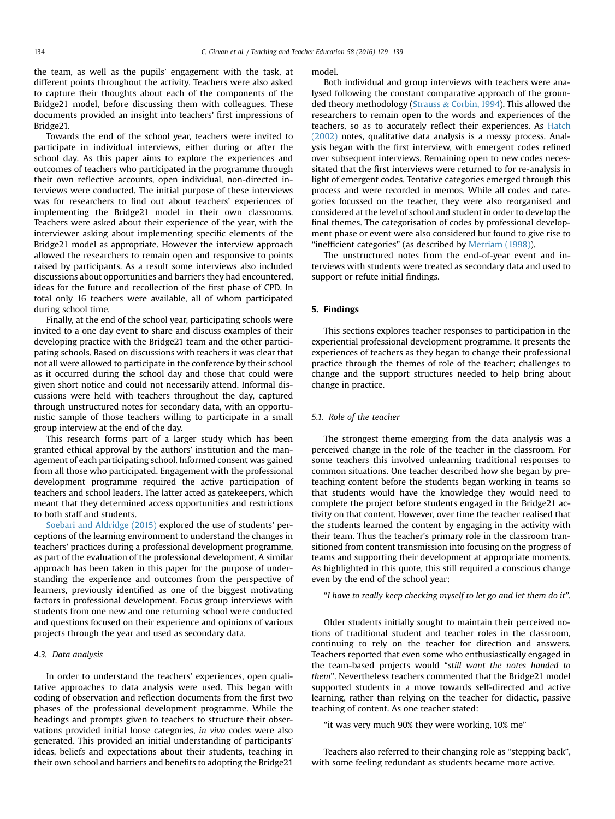the team, as well as the pupils' engagement with the task, at different points throughout the activity. Teachers were also asked to capture their thoughts about each of the components of the Bridge21 model, before discussing them with colleagues. These documents provided an insight into teachers' first impressions of Bridge21.

Towards the end of the school year, teachers were invited to participate in individual interviews, either during or after the school day. As this paper aims to explore the experiences and outcomes of teachers who participated in the programme through their own reflective accounts, open individual, non-directed interviews were conducted. The initial purpose of these interviews was for researchers to find out about teachers' experiences of implementing the Bridge21 model in their own classrooms. Teachers were asked about their experience of the year, with the interviewer asking about implementing specific elements of the Bridge21 model as appropriate. However the interview approach allowed the researchers to remain open and responsive to points raised by participants. As a result some interviews also included discussions about opportunities and barriers they had encountered, ideas for the future and recollection of the first phase of CPD. In total only 16 teachers were available, all of whom participated during school time.

Finally, at the end of the school year, participating schools were invited to a one day event to share and discuss examples of their developing practice with the Bridge21 team and the other participating schools. Based on discussions with teachers it was clear that not all were allowed to participate in the conference by their school as it occurred during the school day and those that could were given short notice and could not necessarily attend. Informal discussions were held with teachers throughout the day, captured through unstructured notes for secondary data, with an opportunistic sample of those teachers willing to participate in a small group interview at the end of the day.

This research forms part of a larger study which has been granted ethical approval by the authors' institution and the management of each participating school. Informed consent was gained from all those who participated. Engagement with the professional development programme required the active participation of teachers and school leaders. The latter acted as gatekeepers, which meant that they determined access opportunities and restrictions to both staff and students.

[Soebari and Aldridge \(2015\)](#page-10-0) explored the use of students' perceptions of the learning environment to understand the changes in teachers' practices during a professional development programme, as part of the evaluation of the professional development. A similar approach has been taken in this paper for the purpose of understanding the experience and outcomes from the perspective of learners, previously identified as one of the biggest motivating factors in professional development. Focus group interviews with students from one new and one returning school were conducted and questions focused on their experience and opinions of various projects through the year and used as secondary data.

#### 4.3. Data analysis

In order to understand the teachers' experiences, open qualitative approaches to data analysis were used. This began with coding of observation and reflection documents from the first two phases of the professional development programme. While the headings and prompts given to teachers to structure their observations provided initial loose categories, in vivo codes were also generated. This provided an initial understanding of participants' ideas, beliefs and expectations about their students, teaching in their own school and barriers and benefits to adopting the Bridge21 model.

Both individual and group interviews with teachers were analysed following the constant comparative approach of the grounded theory methodology [\(Strauss](#page-10-0) & [Corbin, 1994](#page-10-0)). This allowed the researchers to remain open to the words and experiences of the teachers, so as to accurately reflect their experiences. As [Hatch](#page-10-0) [\(2002\)](#page-10-0) notes, qualitative data analysis is a messy process. Analysis began with the first interview, with emergent codes refined over subsequent interviews. Remaining open to new codes necessitated that the first interviews were returned to for re-analysis in light of emergent codes. Tentative categories emerged through this process and were recorded in memos. While all codes and categories focussed on the teacher, they were also reorganised and considered at the level of school and student in order to develop the final themes. The categorisation of codes by professional development phase or event were also considered but found to give rise to "inefficient categories" (as described by [Merriam \(1998\)\)](#page-10-0).

The unstructured notes from the end-of-year event and interviews with students were treated as secondary data and used to support or refute initial findings.

### 5. Findings

This sections explores teacher responses to participation in the experiential professional development programme. It presents the experiences of teachers as they began to change their professional practice through the themes of role of the teacher; challenges to change and the support structures needed to help bring about change in practice.

# 5.1. Role of the teacher

The strongest theme emerging from the data analysis was a perceived change in the role of the teacher in the classroom. For some teachers this involved unlearning traditional responses to common situations. One teacher described how she began by preteaching content before the students began working in teams so that students would have the knowledge they would need to complete the project before students engaged in the Bridge21 activity on that content. However, over time the teacher realised that the students learned the content by engaging in the activity with their team. Thus the teacher's primary role in the classroom transitioned from content transmission into focusing on the progress of teams and supporting their development at appropriate moments. As highlighted in this quote, this still required a conscious change even by the end of the school year:

"I have to really keep checking myself to let go and let them do it".

Older students initially sought to maintain their perceived notions of traditional student and teacher roles in the classroom, continuing to rely on the teacher for direction and answers. Teachers reported that even some who enthusiastically engaged in the team-based projects would "still want the notes handed to them". Nevertheless teachers commented that the Bridge21 model supported students in a move towards self-directed and active learning, rather than relying on the teacher for didactic, passive teaching of content. As one teacher stated:

"it was very much 90% they were working, 10% me"

Teachers also referred to their changing role as "stepping back", with some feeling redundant as students became more active.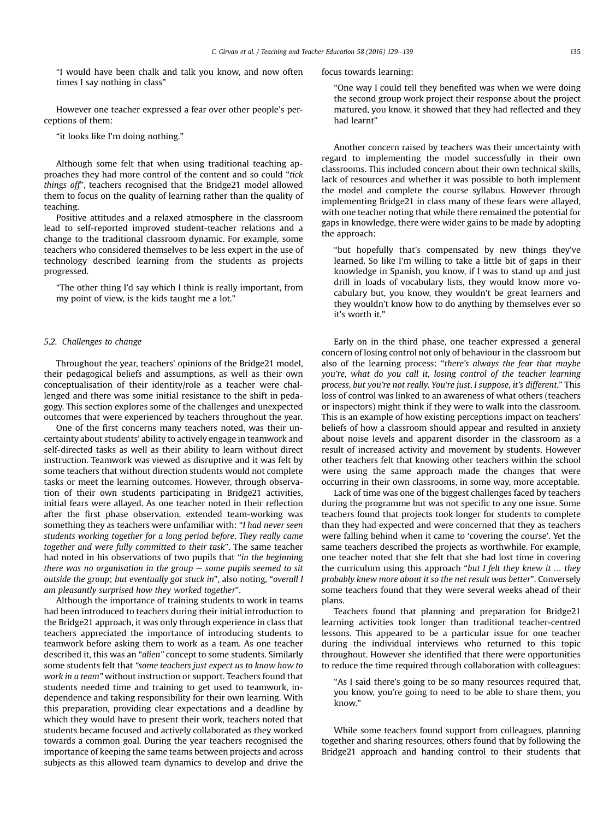"I would have been chalk and talk you know, and now often times I say nothing in class"

However one teacher expressed a fear over other people's perceptions of them:

"it looks like I'm doing nothing."

Although some felt that when using traditional teaching approaches they had more control of the content and so could "tick things off", teachers recognised that the Bridge21 model allowed them to focus on the quality of learning rather than the quality of teaching.

Positive attitudes and a relaxed atmosphere in the classroom lead to self-reported improved student-teacher relations and a change to the traditional classroom dynamic. For example, some teachers who considered themselves to be less expert in the use of technology described learning from the students as projects progressed.

"The other thing I'd say which I think is really important, from my point of view, is the kids taught me a lot."

#### 5.2. Challenges to change

Throughout the year, teachers' opinions of the Bridge21 model, their pedagogical beliefs and assumptions, as well as their own conceptualisation of their identity/role as a teacher were challenged and there was some initial resistance to the shift in pedagogy. This section explores some of the challenges and unexpected outcomes that were experienced by teachers throughout the year.

One of the first concerns many teachers noted, was their uncertainty about students' ability to actively engage in teamwork and self-directed tasks as well as their ability to learn without direct instruction. Teamwork was viewed as disruptive and it was felt by some teachers that without direction students would not complete tasks or meet the learning outcomes. However, through observation of their own students participating in Bridge21 activities, initial fears were allayed. As one teacher noted in their reflection after the first phase observation, extended team-working was something they as teachers were unfamiliar with: "I had never seen students working together for a long period before. They really came together and were fully committed to their task". The same teacher had noted in his observations of two pupils that "in the beginning there was no organisation in the group  $-$  some pupils seemed to sit outside the group; but eventually got stuck in", also noting, "overall I am pleasantly surprised how they worked together".

Although the importance of training students to work in teams had been introduced to teachers during their initial introduction to the Bridge21 approach, it was only through experience in class that teachers appreciated the importance of introducing students to teamwork before asking them to work as a team. As one teacher described it, this was an "alien" concept to some students. Similarly some students felt that "some teachers just expect us to know how to work in a team" without instruction or support. Teachers found that students needed time and training to get used to teamwork, independence and taking responsibility for their own learning. With this preparation, providing clear expectations and a deadline by which they would have to present their work, teachers noted that students became focused and actively collaborated as they worked towards a common goal. During the year teachers recognised the importance of keeping the same teams between projects and across subjects as this allowed team dynamics to develop and drive the focus towards learning:

"One way I could tell they benefited was when we were doing the second group work project their response about the project matured, you know, it showed that they had reflected and they had learnt"

Another concern raised by teachers was their uncertainty with regard to implementing the model successfully in their own classrooms. This included concern about their own technical skills, lack of resources and whether it was possible to both implement the model and complete the course syllabus. However through implementing Bridge21 in class many of these fears were allayed, with one teacher noting that while there remained the potential for gaps in knowledge, there were wider gains to be made by adopting the approach:

"but hopefully that's compensated by new things they've learned. So like I'm willing to take a little bit of gaps in their knowledge in Spanish, you know, if I was to stand up and just drill in loads of vocabulary lists, they would know more vocabulary but, you know, they wouldn't be great learners and they wouldn't know how to do anything by themselves ever so it's worth it."

Early on in the third phase, one teacher expressed a general concern of losing control not only of behaviour in the classroom but also of the learning process: "there's always the fear that maybe you're, what do you call it, losing control of the teacher learning process, but you're not really. You're just, I suppose, it's different." This loss of control was linked to an awareness of what others (teachers or inspectors) might think if they were to walk into the classroom. This is an example of how existing perceptions impact on teachers' beliefs of how a classroom should appear and resulted in anxiety about noise levels and apparent disorder in the classroom as a result of increased activity and movement by students. However other teachers felt that knowing other teachers within the school were using the same approach made the changes that were occurring in their own classrooms, in some way, more acceptable.

Lack of time was one of the biggest challenges faced by teachers during the programme but was not specific to any one issue. Some teachers found that projects took longer for students to complete than they had expected and were concerned that they as teachers were falling behind when it came to 'covering the course'. Yet the same teachers described the projects as worthwhile. For example, one teacher noted that she felt that she had lost time in covering the curriculum using this approach "but I felt they knew it … they probably knew more about it so the net result was better". Conversely some teachers found that they were several weeks ahead of their plans.

Teachers found that planning and preparation for Bridge21 learning activities took longer than traditional teacher-centred lessons. This appeared to be a particular issue for one teacher during the individual interviews who returned to this topic throughout. However she identified that there were opportunities to reduce the time required through collaboration with colleagues:

"As I said there's going to be so many resources required that, you know, you're going to need to be able to share them, you know."

While some teachers found support from colleagues, planning together and sharing resources, others found that by following the Bridge21 approach and handing control to their students that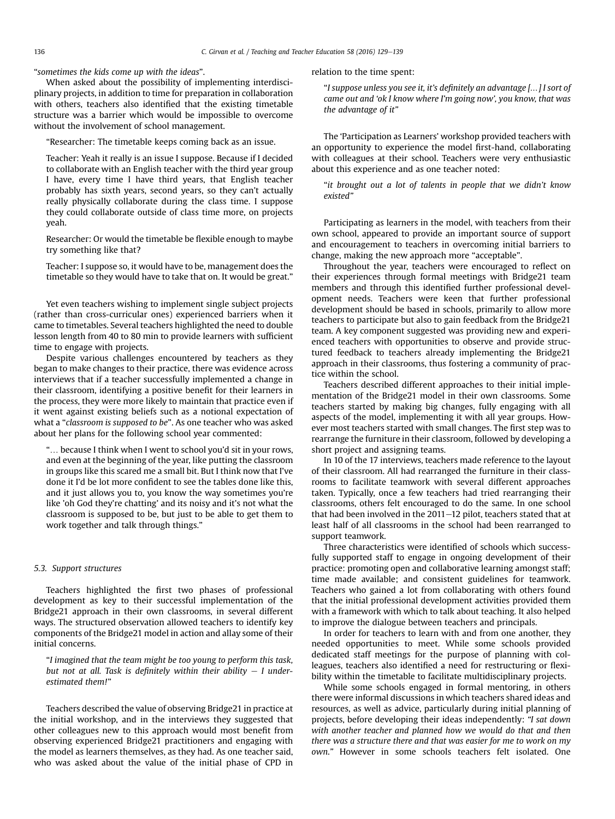"sometimes the kids come up with the ideas".

When asked about the possibility of implementing interdisciplinary projects, in addition to time for preparation in collaboration with others, teachers also identified that the existing timetable structure was a barrier which would be impossible to overcome without the involvement of school management.

"Researcher: The timetable keeps coming back as an issue.

Teacher: Yeah it really is an issue I suppose. Because if I decided to collaborate with an English teacher with the third year group I have, every time I have third years, that English teacher probably has sixth years, second years, so they can't actually really physically collaborate during the class time. I suppose they could collaborate outside of class time more, on projects yeah.

Researcher: Or would the timetable be flexible enough to maybe try something like that?

Teacher: I suppose so, it would have to be, management does the timetable so they would have to take that on. It would be great."

Yet even teachers wishing to implement single subject projects (rather than cross-curricular ones) experienced barriers when it came to timetables. Several teachers highlighted the need to double lesson length from 40 to 80 min to provide learners with sufficient time to engage with projects.

Despite various challenges encountered by teachers as they began to make changes to their practice, there was evidence across interviews that if a teacher successfully implemented a change in their classroom, identifying a positive benefit for their learners in the process, they were more likely to maintain that practice even if it went against existing beliefs such as a notional expectation of what a "classroom is supposed to be". As one teacher who was asked about her plans for the following school year commented:

"… because I think when I went to school you'd sit in your rows, and even at the beginning of the year, like putting the classroom in groups like this scared me a small bit. But I think now that I've done it I'd be lot more confident to see the tables done like this, and it just allows you to, you know the way sometimes you're like 'oh God they're chatting' and its noisy and it's not what the classroom is supposed to be, but just to be able to get them to work together and talk through things."

#### 5.3. Support structures

Teachers highlighted the first two phases of professional development as key to their successful implementation of the Bridge21 approach in their own classrooms, in several different ways. The structured observation allowed teachers to identify key components of the Bridge21 model in action and allay some of their initial concerns.

"I imagined that the team might be too young to perform this task, but not at all. Task is definitely within their ability  $-1$  underestimated them!"

Teachers described the value of observing Bridge21 in practice at the initial workshop, and in the interviews they suggested that other colleagues new to this approach would most benefit from observing experienced Bridge21 practitioners and engaging with the model as learners themselves, as they had. As one teacher said, who was asked about the value of the initial phase of CPD in relation to the time spent:

"I suppose unless you see it, it's definitely an advantage […] I sort of came out and 'ok I know where I'm going now', you know, that was the advantage of it"

The 'Participation as Learners' workshop provided teachers with an opportunity to experience the model first-hand, collaborating with colleagues at their school. Teachers were very enthusiastic about this experience and as one teacher noted:

"it brought out a lot of talents in people that we didn't know existed"

Participating as learners in the model, with teachers from their own school, appeared to provide an important source of support and encouragement to teachers in overcoming initial barriers to change, making the new approach more "acceptable".

Throughout the year, teachers were encouraged to reflect on their experiences through formal meetings with Bridge21 team members and through this identified further professional development needs. Teachers were keen that further professional development should be based in schools, primarily to allow more teachers to participate but also to gain feedback from the Bridge21 team. A key component suggested was providing new and experienced teachers with opportunities to observe and provide structured feedback to teachers already implementing the Bridge21 approach in their classrooms, thus fostering a community of practice within the school.

Teachers described different approaches to their initial implementation of the Bridge21 model in their own classrooms. Some teachers started by making big changes, fully engaging with all aspects of the model, implementing it with all year groups. However most teachers started with small changes. The first step was to rearrange the furniture in their classroom, followed by developing a short project and assigning teams.

In 10 of the 17 interviews, teachers made reference to the layout of their classroom. All had rearranged the furniture in their classrooms to facilitate teamwork with several different approaches taken. Typically, once a few teachers had tried rearranging their classrooms, others felt encouraged to do the same. In one school that had been involved in the  $2011-12$  pilot, teachers stated that at least half of all classrooms in the school had been rearranged to support teamwork.

Three characteristics were identified of schools which successfully supported staff to engage in ongoing development of their practice: promoting open and collaborative learning amongst staff; time made available; and consistent guidelines for teamwork. Teachers who gained a lot from collaborating with others found that the initial professional development activities provided them with a framework with which to talk about teaching. It also helped to improve the dialogue between teachers and principals.

In order for teachers to learn with and from one another, they needed opportunities to meet. While some schools provided dedicated staff meetings for the purpose of planning with colleagues, teachers also identified a need for restructuring or flexibility within the timetable to facilitate multidisciplinary projects.

While some schools engaged in formal mentoring, in others there were informal discussions in which teachers shared ideas and resources, as well as advice, particularly during initial planning of projects, before developing their ideas independently: "I sat down with another teacher and planned how we would do that and then there was a structure there and that was easier for me to work on my own." However in some schools teachers felt isolated. One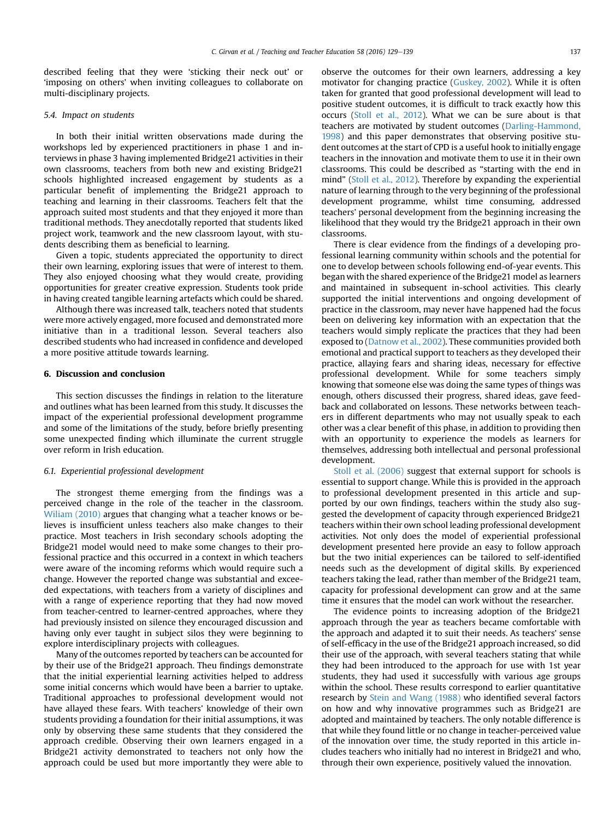described feeling that they were 'sticking their neck out' or 'imposing on others' when inviting colleagues to collaborate on multi-disciplinary projects.

#### 5.4. Impact on students

In both their initial written observations made during the workshops led by experienced practitioners in phase 1 and interviews in phase 3 having implemented Bridge21 activities in their own classrooms, teachers from both new and existing Bridge21 schools highlighted increased engagement by students as a particular benefit of implementing the Bridge21 approach to teaching and learning in their classrooms. Teachers felt that the approach suited most students and that they enjoyed it more than traditional methods. They anecdotally reported that students liked project work, teamwork and the new classroom layout, with students describing them as beneficial to learning.

Given a topic, students appreciated the opportunity to direct their own learning, exploring issues that were of interest to them. They also enjoyed choosing what they would create, providing opportunities for greater creative expression. Students took pride in having created tangible learning artefacts which could be shared.

Although there was increased talk, teachers noted that students were more actively engaged, more focused and demonstrated more initiative than in a traditional lesson. Several teachers also described students who had increased in confidence and developed a more positive attitude towards learning.

### 6. Discussion and conclusion

This section discusses the findings in relation to the literature and outlines what has been learned from this study. It discusses the impact of the experiential professional development programme and some of the limitations of the study, before briefly presenting some unexpected finding which illuminate the current struggle over reform in Irish education.

#### 6.1. Experiential professional development

The strongest theme emerging from the findings was a perceived change in the role of the teacher in the classroom. [Wiliam \(2010\)](#page-10-0) argues that changing what a teacher knows or believes is insufficient unless teachers also make changes to their practice. Most teachers in Irish secondary schools adopting the Bridge21 model would need to make some changes to their professional practice and this occurred in a context in which teachers were aware of the incoming reforms which would require such a change. However the reported change was substantial and exceeded expectations, with teachers from a variety of disciplines and with a range of experience reporting that they had now moved from teacher-centred to learner-centred approaches, where they had previously insisted on silence they encouraged discussion and having only ever taught in subject silos they were beginning to explore interdisciplinary projects with colleagues.

Many of the outcomes reported by teachers can be accounted for by their use of the Bridge21 approach. Theu findings demonstrate that the initial experiential learning activities helped to address some initial concerns which would have been a barrier to uptake. Traditional approaches to professional development would not have allayed these fears. With teachers' knowledge of their own students providing a foundation for their initial assumptions, it was only by observing these same students that they considered the approach credible. Observing their own learners engaged in a Bridge21 activity demonstrated to teachers not only how the approach could be used but more importantly they were able to

observe the outcomes for their own learners, addressing a key motivator for changing practice [\(Guskey, 2002\)](#page-10-0). While it is often taken for granted that good professional development will lead to positive student outcomes, it is difficult to track exactly how this occurs [\(Stoll et al., 2012](#page-10-0)). What we can be sure about is that teachers are motivated by student outcomes ([Darling-Hammond,](#page-10-0) [1998\)](#page-10-0) and this paper demonstrates that observing positive student outcomes at the start of CPD is a useful hook to initially engage teachers in the innovation and motivate them to use it in their own classrooms. This could be described as "starting with the end in mind" ([Stoll et al., 2012\)](#page-10-0). Therefore by expanding the experiential nature of learning through to the very beginning of the professional development programme, whilst time consuming, addressed teachers' personal development from the beginning increasing the likelihood that they would try the Bridge21 approach in their own classrooms.

There is clear evidence from the findings of a developing professional learning community within schools and the potential for one to develop between schools following end-of-year events. This began with the shared experience of the Bridge21 model as learners and maintained in subsequent in-school activities. This clearly supported the initial interventions and ongoing development of practice in the classroom, may never have happened had the focus been on delivering key information with an expectation that the teachers would simply replicate the practices that they had been exposed to ([Datnow et al., 2002](#page-10-0)). These communities provided both emotional and practical support to teachers as they developed their practice, allaying fears and sharing ideas, necessary for effective professional development. While for some teachers simply knowing that someone else was doing the same types of things was enough, others discussed their progress, shared ideas, gave feedback and collaborated on lessons. These networks between teachers in different departments who may not usually speak to each other was a clear benefit of this phase, in addition to providing then with an opportunity to experience the models as learners for themselves, addressing both intellectual and personal professional development.

[Stoll et al. \(2006\)](#page-10-0) suggest that external support for schools is essential to support change. While this is provided in the approach to professional development presented in this article and supported by our own findings, teachers within the study also suggested the development of capacity through experienced Bridge21 teachers within their own school leading professional development activities. Not only does the model of experiential professional development presented here provide an easy to follow approach but the two initial experiences can be tailored to self-identified needs such as the development of digital skills. By experienced teachers taking the lead, rather than member of the Bridge21 team, capacity for professional development can grow and at the same time it ensures that the model can work without the researcher.

The evidence points to increasing adoption of the Bridge21 approach through the year as teachers became comfortable with the approach and adapted it to suit their needs. As teachers' sense of self-efficacy in the use of the Bridge21 approach increased, so did their use of the approach, with several teachers stating that while they had been introduced to the approach for use with 1st year students, they had used it successfully with various age groups within the school. These results correspond to earlier quantitative research by [Stein and Wang \(1988\)](#page-10-0) who identified several factors on how and why innovative programmes such as Bridge21 are adopted and maintained by teachers. The only notable difference is that while they found little or no change in teacher-perceived value of the innovation over time, the study reported in this article includes teachers who initially had no interest in Bridge21 and who, through their own experience, positively valued the innovation.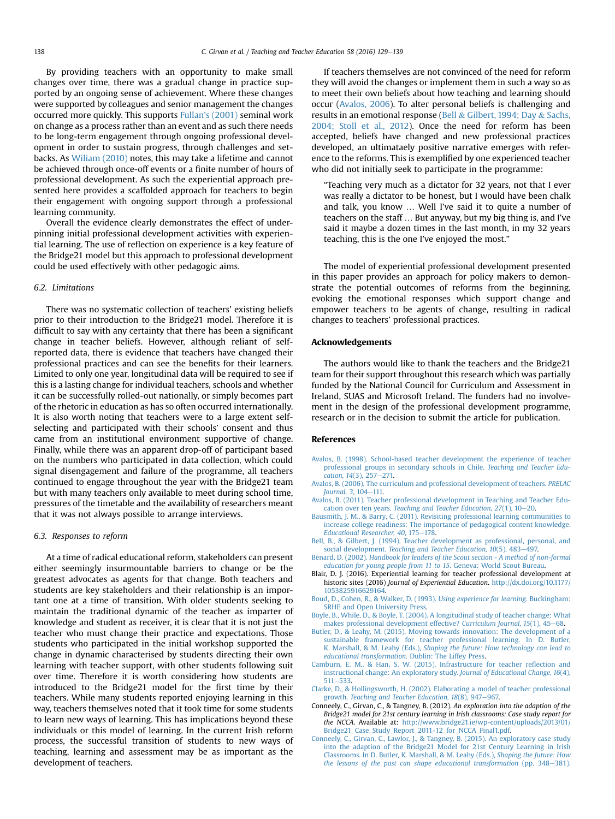<span id="page-9-0"></span>By providing teachers with an opportunity to make small changes over time, there was a gradual change in practice supported by an ongoing sense of achievement. Where these changes were supported by colleagues and senior management the changes occurred more quickly. This supports Fullan'[s \(2001\)](#page-10-0) seminal work on change as a process rather than an event and as such there needs to be long-term engagement through ongoing professional development in order to sustain progress, through challenges and setbacks. As [Wiliam \(2010\)](#page-10-0) notes, this may take a lifetime and cannot be achieved through once-off events or a finite number of hours of professional development. As such the experiential approach presented here provides a scaffolded approach for teachers to begin their engagement with ongoing support through a professional learning community.

Overall the evidence clearly demonstrates the effect of underpinning initial professional development activities with experiential learning. The use of reflection on experience is a key feature of the Bridge21 model but this approach to professional development could be used effectively with other pedagogic aims.

#### 6.2. Limitations

There was no systematic collection of teachers' existing beliefs prior to their introduction to the Bridge21 model. Therefore it is difficult to say with any certainty that there has been a significant change in teacher beliefs. However, although reliant of selfreported data, there is evidence that teachers have changed their professional practices and can see the benefits for their learners. Limited to only one year, longitudinal data will be required to see if this is a lasting change for individual teachers, schools and whether it can be successfully rolled-out nationally, or simply becomes part of the rhetoric in education as has so often occurred internationally. It is also worth noting that teachers were to a large extent selfselecting and participated with their schools' consent and thus came from an institutional environment supportive of change. Finally, while there was an apparent drop-off of participant based on the numbers who participated in data collection, which could signal disengagement and failure of the programme, all teachers continued to engage throughout the year with the Bridge21 team but with many teachers only available to meet during school time, pressures of the timetable and the availability of researchers meant that it was not always possible to arrange interviews.

#### 6.3. Responses to reform

At a time of radical educational reform, stakeholders can present either seemingly insurmountable barriers to change or be the greatest advocates as agents for that change. Both teachers and students are key stakeholders and their relationship is an important one at a time of transition. With older students seeking to maintain the traditional dynamic of the teacher as imparter of knowledge and student as receiver, it is clear that it is not just the teacher who must change their practice and expectations. Those students who participated in the initial workshop supported the change in dynamic characterised by students directing their own learning with teacher support, with other students following suit over time. Therefore it is worth considering how students are introduced to the Bridge21 model for the first time by their teachers. While many students reported enjoying learning in this way, teachers themselves noted that it took time for some students to learn new ways of learning. This has implications beyond these individuals or this model of learning. In the current Irish reform process, the successful transition of students to new ways of teaching, learning and assessment may be as important as the development of teachers.

If teachers themselves are not convinced of the need for reform they will avoid the changes or implement them in such a way so as to meet their own beliefs about how teaching and learning should occur (Avalos, 2006). To alter personal beliefs is challenging and results in an emotional response (Bell & Gilbert, 1994; Day & Sachs, 2004; Stoll et al., 2012). Once the need for reform has been accepted, beliefs have changed and new professional practices developed, an ultimataely positive narrative emerges with reference to the reforms. This is exemplified by one experienced teacher who did not initially seek to participate in the programme:

"Teaching very much as a dictator for 32 years, not that I ever was really a dictator to be honest, but I would have been chalk and talk, you know … Well I've said it to quite a number of teachers on the staff … But anyway, but my big thing is, and I've said it maybe a dozen times in the last month, in my 32 years teaching, this is the one I've enjoyed the most."

The model of experiential professional development presented in this paper provides an approach for policy makers to demonstrate the potential outcomes of reforms from the beginning, evoking the emotional responses which support change and empower teachers to be agents of change, resulting in radical changes to teachers' professional practices.

# Acknowledgements

The authors would like to thank the teachers and the Bridge21 team for their support throughout this research which was partially funded by the National Council for Curriculum and Assessment in Ireland, SUAS and Microsoft Ireland. The funders had no involvement in the design of the professional development programme, research or in the decision to submit the article for publication.

#### References

- [Avalos, B. \(1998\). School-based teacher development the experience of teacher](http://refhub.elsevier.com/S0742-051X(16)30071-3/sref5) [professional groups in secondary schools in Chile.](http://refhub.elsevier.com/S0742-051X(16)30071-3/sref5) Teaching and Teacher Edu $cation, 14(3), 257-271.$  $cation, 14(3), 257-271.$  $cation, 14(3), 257-271.$
- [Avalos, B. \(2006\). The curriculum and professional development of teachers.](http://refhub.elsevier.com/S0742-051X(16)30071-3/sref6) PRELAC  $Journal. 3. 104 - 111.$  $Journal. 3. 104 - 111.$
- [Avalos, B. \(2011\). Teacher professional development in Teaching and Teacher Edu-](http://refhub.elsevier.com/S0742-051X(16)30071-3/sref7)
- cation over ten years. [Teaching and Teacher Education, 27](http://refhub.elsevier.com/S0742-051X(16)30071-3/sref7)(1), 10–[20](http://refhub.elsevier.com/S0742-051X(16)30071-3/sref7).<br>[Bausmith, J. M., & Barry, C. \(2011\). Revisiting professional learning communities to](http://refhub.elsevier.com/S0742-051X(16)30071-3/sref61) [increase college readiness: The importance of pedagogical content knowledge.](http://refhub.elsevier.com/S0742-051X(16)30071-3/sref61) [Educational Researcher, 40](http://refhub.elsevier.com/S0742-051X(16)30071-3/sref61), 175-[178.](http://refhub.elsevier.com/S0742-051X(16)30071-3/sref61)
- [Bell, B., & Gilbert, J. \(1994\). Teacher development as professional, personal, and](http://refhub.elsevier.com/S0742-051X(16)30071-3/sref8) social development. [Teaching and Teacher Education, 10](http://refhub.elsevier.com/S0742-051X(16)30071-3/sref8)(5), 483-[497.](http://refhub.elsevier.com/S0742-051X(16)30071-3/sref8)
- Bénard, D. (2002). [Handbook for leaders of the Scout section A method of non-formal](http://refhub.elsevier.com/S0742-051X(16)30071-3/sref9) [education for young people from 11 to 15](http://refhub.elsevier.com/S0742-051X(16)30071-3/sref9). Geneva: World Scout Bureau.
- Blair, D. J. (2016). Experiential learning for teacher professional development at historic sites (2016) Journal of Experiential Education. [http://dx.doi.org/10.1177/](http://dx.doi.org/10.1177/1053825916629164) [1053825916629164.](http://dx.doi.org/10.1177/1053825916629164)
- [Boud, D., Cohen, R., & Walker, D. \(1993\).](http://refhub.elsevier.com/S0742-051X(16)30071-3/sref11) Using experience for learning. Buckingham: [SRHE and Open University Press.](http://refhub.elsevier.com/S0742-051X(16)30071-3/sref11)
- [Boyle, B., While, D., & Boyle, T. \(2004\). A longitudinal study of teacher change: What](http://refhub.elsevier.com/S0742-051X(16)30071-3/sref12) [makes professional development effective?](http://refhub.elsevier.com/S0742-051X(16)30071-3/sref12) Curriculum Journal, 15(1), 45-[68](http://refhub.elsevier.com/S0742-051X(16)30071-3/sref12).
- [Butler, D., & Leahy, M. \(2015\). Moving towards innovation: The development of a](http://refhub.elsevier.com/S0742-051X(16)30071-3/sref60) [sustainable framework for teacher professional learning. In D. Butler,](http://refhub.elsevier.com/S0742-051X(16)30071-3/sref60) K. Marshall, & M. Leahy (Eds.), [Shaping the future: How technology can lead to](http://refhub.elsevier.com/S0742-051X(16)30071-3/sref60) [educational transformation](http://refhub.elsevier.com/S0742-051X(16)30071-3/sref60). Dublin: The Liffey Press.
- [Camburn, E. M., & Han, S. W. \(2015\). Infrastructure for teacher re](http://refhub.elsevier.com/S0742-051X(16)30071-3/sref13)flection and [instructional change: An exploratory study.](http://refhub.elsevier.com/S0742-051X(16)30071-3/sref13) Journal of Educational Change, 16(4), [511](http://refhub.elsevier.com/S0742-051X(16)30071-3/sref13)-[533.](http://refhub.elsevier.com/S0742-051X(16)30071-3/sref13)
- [Clarke, D., & Hollingsworth, H. \(2002\). Elaborating a model of teacher professional](http://refhub.elsevier.com/S0742-051X(16)30071-3/sref58) growth. [Teaching and Teacher Education, 18](http://refhub.elsevier.com/S0742-051X(16)30071-3/sref58)(8), 947-[967.](http://refhub.elsevier.com/S0742-051X(16)30071-3/sref58)
- Conneely, C., Girvan, C., & Tangney, B. (2012). An exploration into the adaption of the Bridge21 model for 21st century learning in Irish classrooms: Case study report for the NCCA. Available at: [http://www.bridge21.ie/wp-content/uploads/2013/01/](http://www.bridge21.ie/wp-content/uploads/2013/01/Bridge21_Case_Study_Report_2011-12_for_NCCA_Final1.pdf) [Bridge21\\_Case\\_Study\\_Report\\_2011-12\\_for\\_NCCA\\_Final1.pdf.](http://www.bridge21.ie/wp-content/uploads/2013/01/Bridge21_Case_Study_Report_2011-12_for_NCCA_Final1.pdf)
- [Conneely, C., Girvan, C., Lawlor, J., & Tangney, B. \(2015\). An exploratory case study](http://refhub.elsevier.com/S0742-051X(16)30071-3/sref57) [into the adaption of the Bridge21 Model for 21st Century Learning in Irish](http://refhub.elsevier.com/S0742-051X(16)30071-3/sref57) [Classrooms. In D. Butler, K. Marshall, & M. Leahy \(Eds.\),](http://refhub.elsevier.com/S0742-051X(16)30071-3/sref57) Shaping the future: How [the lessons of the past can shape educational transformation](http://refhub.elsevier.com/S0742-051X(16)30071-3/sref57) (pp. 348-[381\).](http://refhub.elsevier.com/S0742-051X(16)30071-3/sref57)